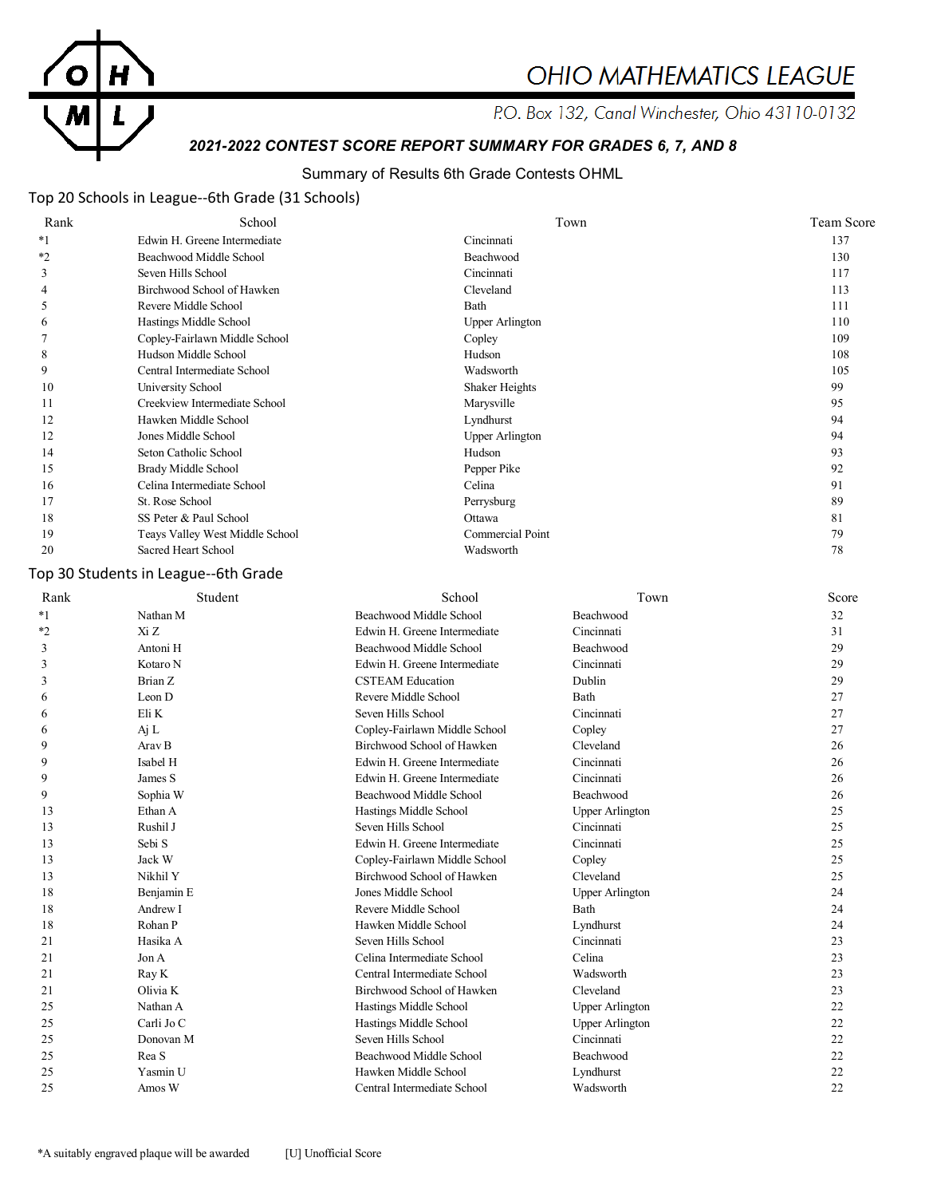

# **OHIO MATHEMATICS LEAGUE**

P.O. Box 132, Canal Winchester, Ohio 43110-0132

# *2021-2022 CONTEST SCORE REPORT SUMMARY FOR GRADES 6, 7, AND 8*

## Summary of Results 6th Grade Contests OHML

## Top 20 Schools in League--6th Grade (31 Schools)

| Rank    | School                          | Town                   | <b>Team Score</b> |
|---------|---------------------------------|------------------------|-------------------|
| $*_{1}$ | Edwin H. Greene Intermediate    | Cincinnati             | 137               |
| $*_{2}$ | Beachwood Middle School         | Beachwood              | 130               |
| 3       | Seven Hills School              | Cincinnati             | 117               |
| 4       | Birchwood School of Hawken      | Cleveland              | 113               |
|         | Revere Middle School            | Bath                   | 111               |
| 6       | Hastings Middle School          | <b>Upper Arlington</b> | 110               |
|         | Copley-Fairlawn Middle School   | Copley                 | 109               |
| 8       | Hudson Middle School            | Hudson                 | 108               |
| 9       | Central Intermediate School     | Wadsworth              | 105               |
| 10      | University School               | Shaker Heights         | 99                |
| 11      | Creekview Intermediate School   | Marysville             | 95                |
| 12      | Hawken Middle School            | Lyndhurst              | 94                |
| 12      | Jones Middle School             | <b>Upper Arlington</b> | 94                |
| 14      | Seton Catholic School           | Hudson                 | 93                |
| 15      | Brady Middle School             | Pepper Pike            | 92                |
| 16      | Celina Intermediate School      | Celina                 | 91                |
| 17      | St. Rose School                 | Perrysburg             | 89                |
| 18      | SS Peter & Paul School          | Ottawa                 | 81                |
| 19      | Teays Valley West Middle School | Commercial Point       | 79                |
| 20      | Sacred Heart School             | Wadsworth              | 78                |

## Top 30 Students in League--6th Grade

| Rank    | Student           | School                        | Town                   | Score |
|---------|-------------------|-------------------------------|------------------------|-------|
| $*_{1}$ | Nathan M          | Beachwood Middle School       | Beachwood              | 32    |
| $*_{2}$ | Xi Z              | Edwin H. Greene Intermediate  | Cincinnati             | 31    |
| 3       | Antoni H          | Beachwood Middle School       | Beachwood              | 29    |
| 3       | Kotaro N          | Edwin H. Greene Intermediate  | Cincinnati             | 29    |
| 3       | Brian Z           | <b>CSTEAM Education</b>       | Dublin                 | 29    |
| 6       | Leon D            | Revere Middle School          | Bath                   | 27    |
| 6       | Eli K             | Seven Hills School            | Cincinnati             | 27    |
| 6       | Aj L              | Copley-Fairlawn Middle School | Copley                 | 27    |
| 9       | Arav B            | Birchwood School of Hawken    | Cleveland              | 26    |
| 9       | Isabel H          | Edwin H. Greene Intermediate  | Cincinnati             | 26    |
| 9       | James S           | Edwin H. Greene Intermediate  | Cincinnati             | 26    |
| 9       | Sophia W          | Beachwood Middle School       | Beachwood              | 26    |
| 13      | Ethan A           | Hastings Middle School        | <b>Upper Arlington</b> | 25    |
| 13      | Rushil J          | Seven Hills School            | Cincinnati             | 25    |
| 13      | Sebi <sub>S</sub> | Edwin H. Greene Intermediate  | Cincinnati             | 25    |
| 13      | Jack W            | Copley-Fairlawn Middle School | Copley                 | 25    |
| 13      | Nikhil Y          | Birchwood School of Hawken    | Cleveland              | 25    |
| 18      | Benjamin E        | Jones Middle School           | <b>Upper Arlington</b> | 24    |
| 18      | Andrew I          | Revere Middle School          | <b>Bath</b>            | 24    |
| 18      | Rohan P           | Hawken Middle School          | Lyndhurst              | 24    |
| 21      | Hasika A          | Seven Hills School            | Cincinnati             | 23    |
| 21      | Jon A             | Celina Intermediate School    | Celina                 | 23    |
| 21      | Ray K             | Central Intermediate School   | Wadsworth              | 23    |
| 21      | Olivia K          | Birchwood School of Hawken    | Cleveland              | 23    |
| 25      | Nathan A          | Hastings Middle School        | <b>Upper Arlington</b> | 22    |
| 25      | Carli Jo C        | Hastings Middle School        | <b>Upper Arlington</b> | 22    |
| 25      | Donovan M         | Seven Hills School            | Cincinnati             | 22    |
| 25      | Rea S             | Beachwood Middle School       | Beachwood              | 22    |
| 25      | Yasmin U          | Hawken Middle School          | Lyndhurst              | 22    |
| 25      | Amos W            | Central Intermediate School   | Wadsworth              | 22    |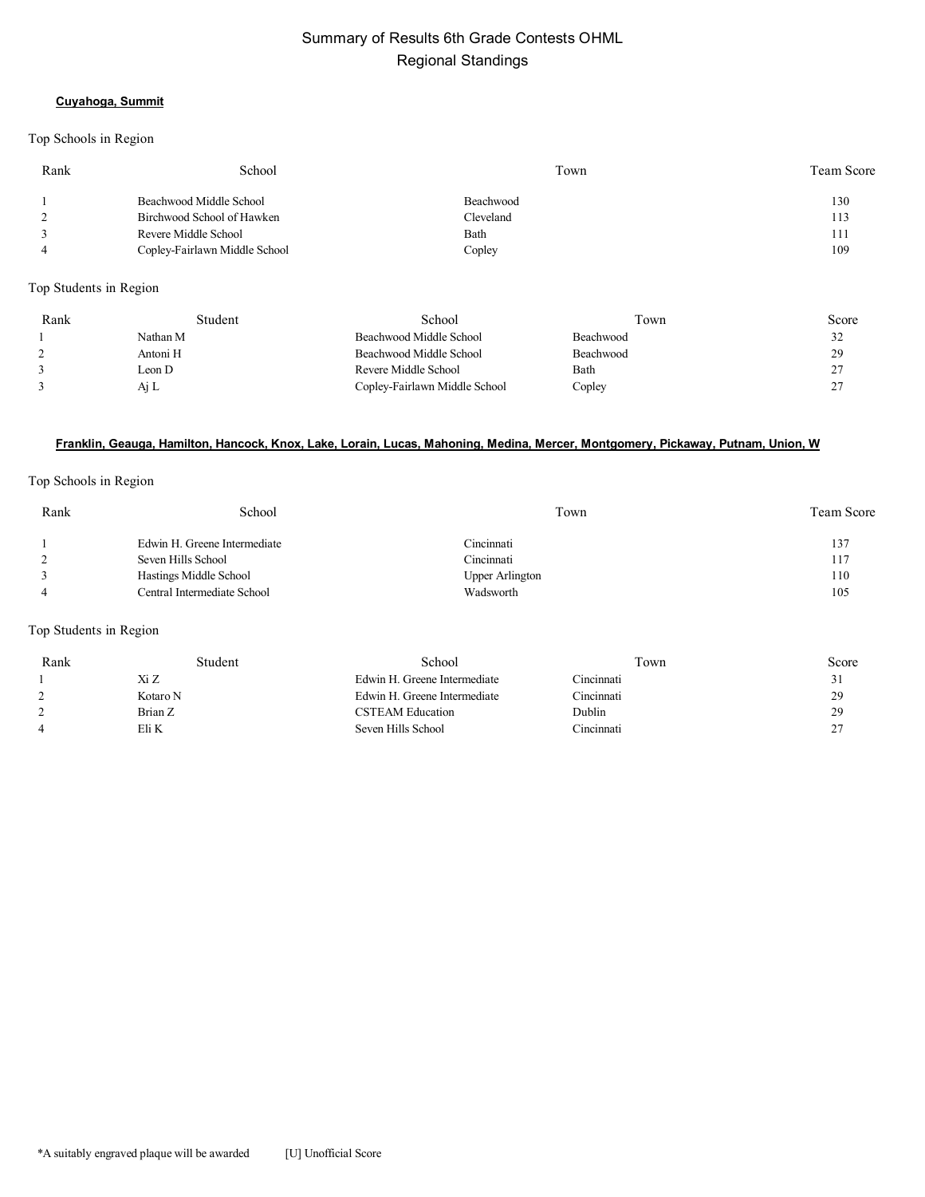# Summary of Results 6th Grade Contests OHML Regional Standings

#### **Cuyahoga, Summit**

#### Top Schools in Region

| Rank | School                        | Town      | Team Score |
|------|-------------------------------|-----------|------------|
|      | Beachwood Middle School       | Beachwood | 130        |
| 2    | Birchwood School of Hawken    | Cleveland | 113        |
|      | Revere Middle School          | Bath      | 111        |
| -4   | Copley-Fairlawn Middle School | Copley    | 109        |
|      |                               |           |            |

Top Students in Region

| Rank | Student  | School                        | Town             | Score  |
|------|----------|-------------------------------|------------------|--------|
|      | Nathan M | Beachwood Middle School       | Beachwood        | ے ر    |
|      | Antoni H | Beachwood Middle School       | <b>Beachwood</b> | 20     |
|      | Leon D   | Revere Middle School          | Bath             | $\sim$ |
|      | Ai L     | Copley-Fairlawn Middle School | Copley           |        |

#### **Franklin, Geauga, Hamilton, Hancock, Knox, Lake, Lorain, Lucas, Mahoning, Medina, Mercer, Montgomery, Pickaway, Putnam, Union, W**

#### Top Schools in Region

| Rank | School                       | Town            | <b>Team Score</b> |
|------|------------------------------|-----------------|-------------------|
|      | Edwin H. Greene Intermediate | Cincinnati      | 137               |
|      | Seven Hills School           | Cincinnati      | 117               |
|      | Hastings Middle School       | Upper Arlington | 110               |
|      | Central Intermediate School  | Wadsworth       | 105               |

#### Top Students in Region

| Rank | Student  | School                       | Town       | Score                |
|------|----------|------------------------------|------------|----------------------|
|      | Xi Z     | Edwin H. Greene Intermediate | Cincinnati | 31                   |
|      | Kotaro N | Edwin H. Greene Intermediate | Cincinnati | 29                   |
|      | Brian Z  | <b>CSTEAM Education</b>      | Dublin     | 29                   |
|      | Eli K    | Seven Hills School           | Cincinnati | $\gamma$<br><u>_</u> |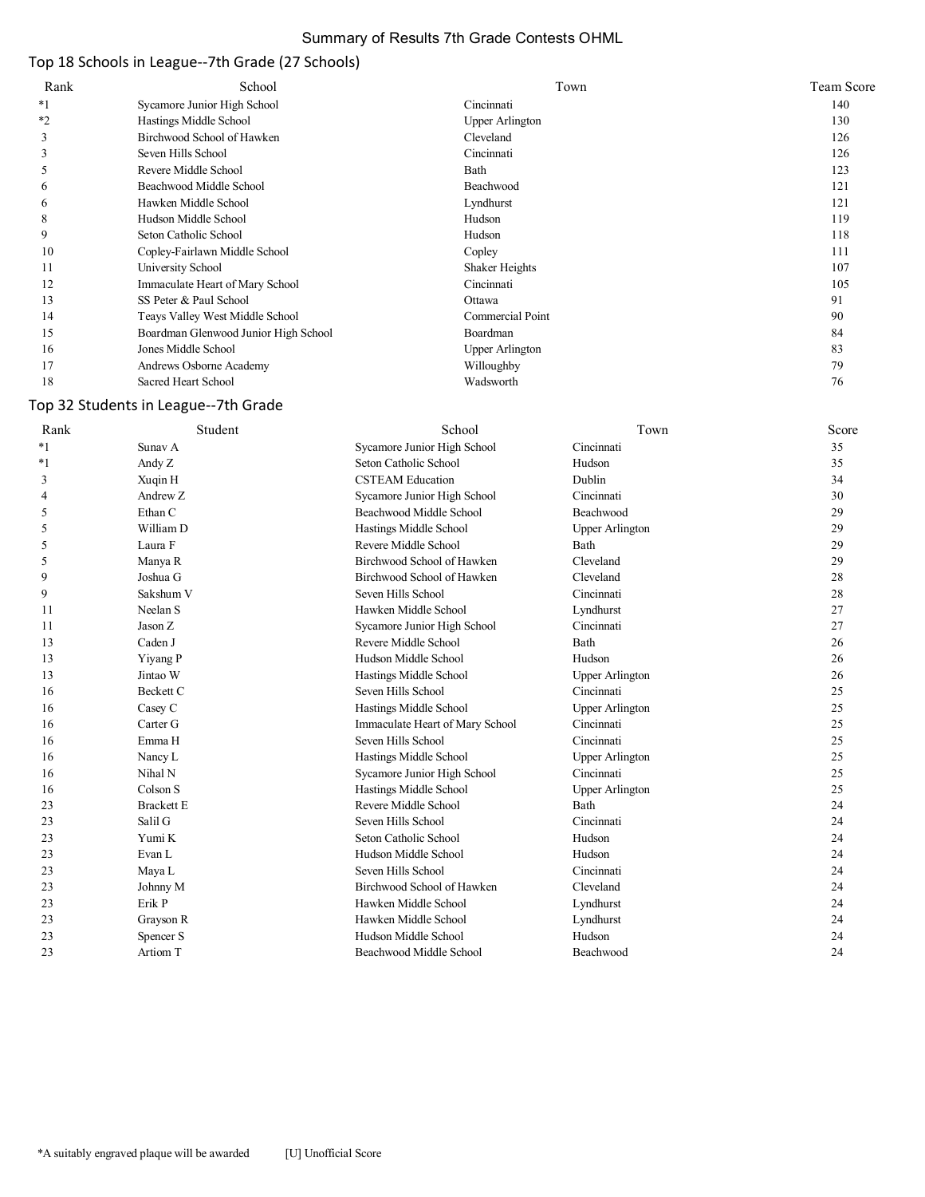## Summary of Results 7th Grade Contests OHML

# Top 18 Schools in League--7th Grade (27 Schools)

| Rank    | School                               | Town                   | <b>Team Score</b> |
|---------|--------------------------------------|------------------------|-------------------|
| $*1$    | Sycamore Junior High School          | Cincinnati             | 140               |
| $*_{2}$ | Hastings Middle School               | <b>Upper Arlington</b> | 130               |
| 3       | Birchwood School of Hawken           | Cleveland              | 126               |
| 3       | Seven Hills School                   | Cincinnati             | 126               |
| 5       | Revere Middle School                 | Bath                   | 123               |
| 6       | Beachwood Middle School              | Beachwood              | 121               |
| 6       | Hawken Middle School                 | Lyndhurst              | 121               |
| 8       | Hudson Middle School                 | Hudson                 | 119               |
| 9       | Seton Catholic School                | Hudson                 | 118               |
| 10      | Copley-Fairlawn Middle School        | Copley                 | 111               |
| 11      | University School                    | Shaker Heights         | 107               |
| 12      | Immaculate Heart of Mary School      | Cincinnati             | 105               |
| 13      | SS Peter & Paul School               | Ottawa                 | 91                |
| 14      | Teays Valley West Middle School      | Commercial Point       | 90                |
| 15      | Boardman Glenwood Junior High School | Boardman               | 84                |
| 16      | Jones Middle School                  | Upper Arlington        | 83                |
| 17      | Andrews Osborne Academy              | Willoughby             | 79                |
| 18      | Sacred Heart School                  | Wadsworth              | 76                |

## Top 32 Students in League--7th Grade

| Rank | Student           | School                          | Town                   | Score |
|------|-------------------|---------------------------------|------------------------|-------|
| $*1$ | Sunav A           | Sycamore Junior High School     | Cincinnati             | 35    |
| $*1$ | Andy Z            | Seton Catholic School           | Hudson                 | 35    |
| 3    | Xuqin H           | <b>CSTEAM Education</b>         | Dublin                 | 34    |
| 4    | Andrew Z          | Sycamore Junior High School     | Cincinnati             | 30    |
| 5    | Ethan C           | Beachwood Middle School         | Beachwood              | 29    |
| 5    | William D         | Hastings Middle School          | <b>Upper Arlington</b> | 29    |
| 5    | Laura F           | Revere Middle School            | <b>Bath</b>            | 29    |
| 5    | Manya R           | Birchwood School of Hawken      | Cleveland              | 29    |
| 9    | Joshua G          | Birchwood School of Hawken      | Cleveland              | 28    |
| 9    | Sakshum V         | Seven Hills School              | Cincinnati             | 28    |
| 11   | Neelan S          | Hawken Middle School            | Lyndhurst              | 27    |
| 11   | Jason Z           | Sycamore Junior High School     | Cincinnati             | 27    |
| 13   | Caden J           | Revere Middle School            | Bath                   | 26    |
| 13   | Yiyang P          | Hudson Middle School            | Hudson                 | 26    |
| 13   | Jintao W          | Hastings Middle School          | <b>Upper Arlington</b> | 26    |
| 16   | Beckett C         | Seven Hills School              | Cincinnati             | 25    |
| 16   | Casey C           | Hastings Middle School          | <b>Upper Arlington</b> | 25    |
| 16   | Carter G          | Immaculate Heart of Mary School | Cincinnati             | 25    |
| 16   | Emma H            | Seven Hills School              | Cincinnati             | 25    |
| 16   | Nancy L           | Hastings Middle School          | <b>Upper Arlington</b> | 25    |
| 16   | Nihal N           | Sycamore Junior High School     | Cincinnati             | 25    |
| 16   | Colson S          | Hastings Middle School          | <b>Upper Arlington</b> | 25    |
| 23   | <b>Brackett E</b> | Revere Middle School            | <b>Bath</b>            | 24    |
| 23   | Salil G           | Seven Hills School              | Cincinnati             | 24    |
| 23   | Yumi K            | Seton Catholic School           | Hudson                 | 24    |
| 23   | Evan L            | Hudson Middle School            | Hudson                 | 24    |
| 23   | Maya L            | Seven Hills School              | Cincinnati             | 24    |
| 23   | Johnny M          | Birchwood School of Hawken      | Cleveland              | 24    |
| 23   | Erik P            | Hawken Middle School            | Lyndhurst              | 24    |
| 23   | Grayson R         | Hawken Middle School            | Lyndhurst              | 24    |
| 23   | Spencer S         | Hudson Middle School            | Hudson                 | 24    |
| 23   | Artiom T          | Beachwood Middle School         | Beachwood              | 24    |
|      |                   |                                 |                        |       |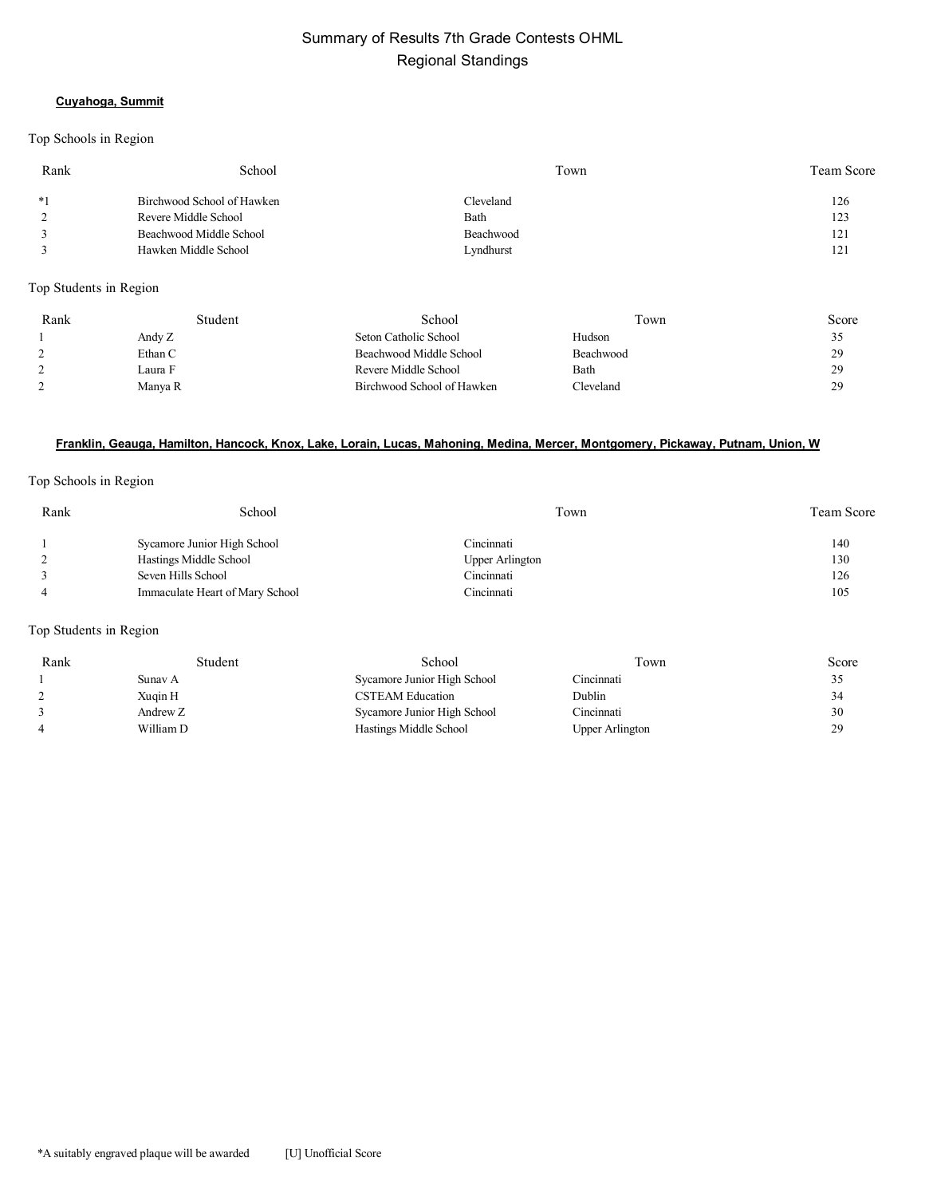# Summary of Results 7th Grade Contests OHML Regional Standings

#### **Cuyahoga, Summit**

#### Top Schools in Region

| Rank | School                     | Town      | Team Score |
|------|----------------------------|-----------|------------|
| $*1$ | Birchwood School of Hawken | Cleveland | 126        |
| 2    | Revere Middle School       | Bath      | 123        |
|      | Beachwood Middle School    | Beachwood | 121        |
|      | Hawken Middle School       | Lyndhurst | 121        |
|      |                            |           |            |

Top Students in Region

| Rank | Student | School                     | Town             | Score |
|------|---------|----------------------------|------------------|-------|
|      | Andy Z  | Seton Catholic School      | Hudson           |       |
|      | Ethan C | Beachwood Middle School    | <b>Beachwood</b> | oα    |
|      | Laura F | Revere Middle School       | Bath             | 20    |
|      | Manya R | Birchwood School of Hawken | Cleveland        | 20    |

#### **Franklin, Geauga, Hamilton, Hancock, Knox, Lake, Lorain, Lucas, Mahoning, Medina, Mercer, Montgomery, Pickaway, Putnam, Union, W**

#### Top Schools in Region

| Rank | School                          | Town                   | <b>Team Score</b> |
|------|---------------------------------|------------------------|-------------------|
|      | Sycamore Junior High School     | Cincinnati             | 140               |
|      | Hastings Middle School          | <b>Upper Arlington</b> | 130               |
|      | Seven Hills School              | Cincinnati             | 126               |
|      | Immaculate Heart of Mary School | Cincinnati             | 105               |

#### Top Students in Region

| Student   | School                      | Town            | Score |
|-----------|-----------------------------|-----------------|-------|
| Sunav A   | Sycamore Junior High School | Cincinnati      |       |
| Xuqin H   | <b>CSTEAM Education</b>     | Dublin          | 34    |
| Andrew Z  | Sycamore Junior High School | Cincinnati      | 30    |
| William D | Hastings Middle School      | Upper Arlington | 29    |
|           |                             |                 |       |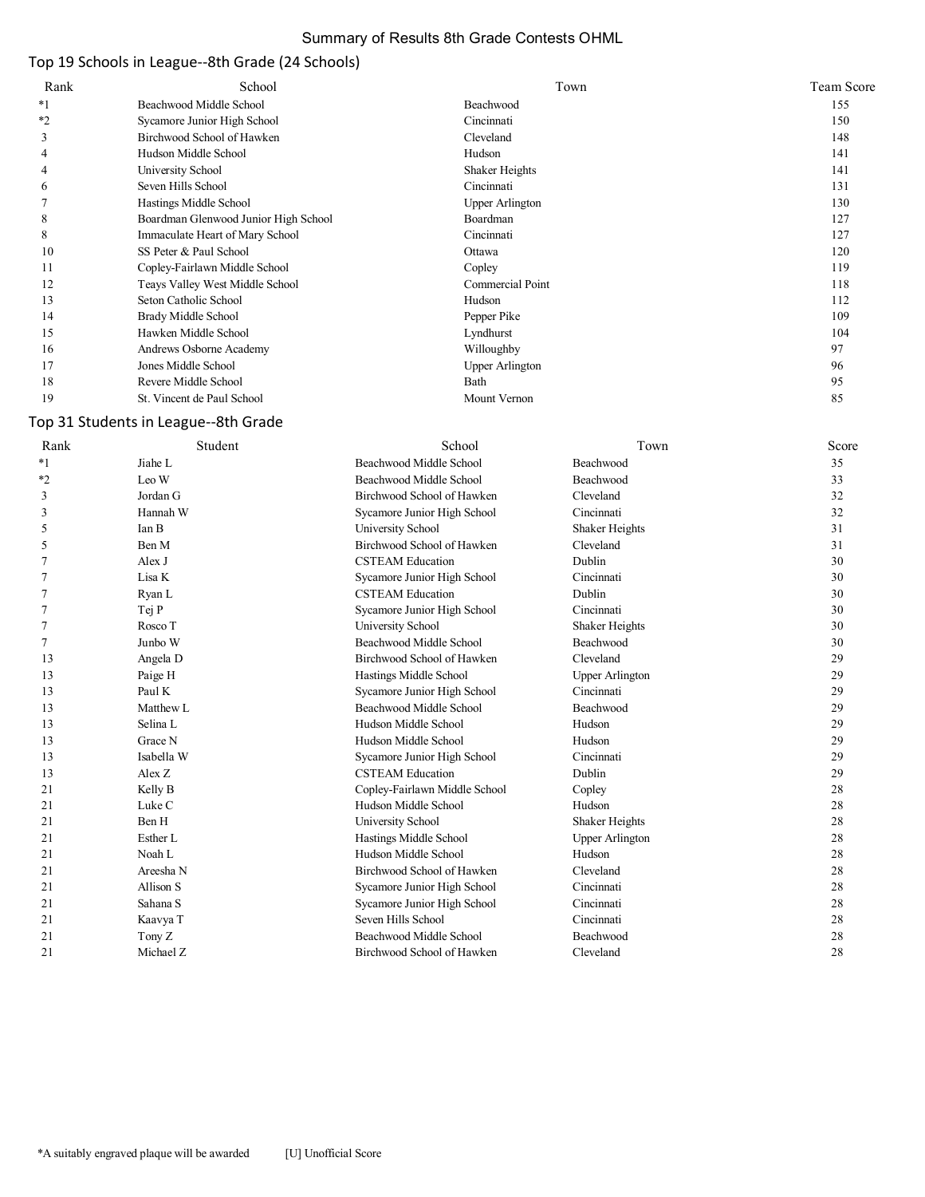## Summary of Results 8th Grade Contests OHML

# Top 19 Schools in League--8th Grade (24 Schools)

| Rank    | School                               | Town                   | <b>Team Score</b> |
|---------|--------------------------------------|------------------------|-------------------|
| $*1$    | Beachwood Middle School              | Beachwood              | 155               |
| $*_{2}$ | Sycamore Junior High School          | Cincinnati             | 150               |
| 3       | Birchwood School of Hawken           | Cleveland              | 148               |
| 4       | Hudson Middle School                 | Hudson                 | 141               |
| 4       | University School                    | Shaker Heights         | 141               |
| 6       | Seven Hills School                   | Cincinnati             | 131               |
|         | Hastings Middle School               | Upper Arlington        | 130               |
| 8       | Boardman Glenwood Junior High School | Boardman               | 127               |
| 8       | Immaculate Heart of Mary School      | Cincinnati             | 127               |
| 10      | SS Peter & Paul School               | Ottawa                 | 120               |
| 11      | Copley-Fairlawn Middle School        | Copley                 | 119               |
| 12      | Teays Valley West Middle School      | Commercial Point       | 118               |
| 13      | Seton Catholic School                | Hudson                 | 112               |
| 14      | Brady Middle School                  | Pepper Pike            | 109               |
| 15      | Hawken Middle School                 | Lyndhurst              | 104               |
| 16      | Andrews Osborne Academy              | Willoughby             | 97                |
| 17      | Jones Middle School                  | <b>Upper Arlington</b> | 96                |
| 18      | Revere Middle School                 | Bath                   | 95                |
| 19      | St. Vincent de Paul School           | Mount Vernon           | 85                |

# Top 31 Students in League--8th Grade

| Rank | Student    | School                        | Town                   | Score |
|------|------------|-------------------------------|------------------------|-------|
| $*1$ | Jiahe L    | Beachwood Middle School       | Beachwood              | 35    |
| $*2$ | Leo W      | Beachwood Middle School       | <b>Beachwood</b>       | 33    |
| 3    | Jordan G   | Birchwood School of Hawken    | Cleveland              | 32    |
| 3    | Hannah W   | Sycamore Junior High School   | Cincinnati             | 32    |
| 5    | Ian B      | University School             | Shaker Heights         | 31    |
| 5    | Ben M      | Birchwood School of Hawken    | Cleveland              | 31    |
| 7    | Alex J     | <b>CSTEAM Education</b>       | Dublin                 | 30    |
| 7    | Lisa K     | Sycamore Junior High School   | Cincinnati             | 30    |
| 7    | Ryan L     | <b>CSTEAM Education</b>       | Dublin                 | 30    |
| 7    | Tej P      | Sycamore Junior High School   | Cincinnati             | 30    |
| 7    | Rosco T    | University School             | Shaker Heights         | 30    |
| 7    | Junbo W    | Beachwood Middle School       | Beachwood              | 30    |
| 13   | Angela D   | Birchwood School of Hawken    | Cleveland              | 29    |
| 13   | Paige H    | Hastings Middle School        | <b>Upper Arlington</b> | 29    |
| 13   | Paul K     | Sycamore Junior High School   | Cincinnati             | 29    |
| 13   | Matthew L  | Beachwood Middle School       | Beachwood              | 29    |
| 13   | Selina L   | Hudson Middle School          | Hudson                 | 29    |
| 13   | Grace N    | Hudson Middle School          | Hudson                 | 29    |
| 13   | Isabella W | Sycamore Junior High School   | Cincinnati             | 29    |
| 13   | Alex Z     | <b>CSTEAM Education</b>       | Dublin                 | 29    |
| 21   | Kelly B    | Copley-Fairlawn Middle School | Copley                 | 28    |
| 21   | Luke C     | Hudson Middle School          | Hudson                 | 28    |
| 21   | Ben H      | University School             | Shaker Heights         | 28    |
| 21   | Esther L   | Hastings Middle School        | <b>Upper Arlington</b> | 28    |
| 21   | Noah L     | Hudson Middle School          | Hudson                 | 28    |
| 21   | Areesha N  | Birchwood School of Hawken    | Cleveland              | 28    |
| 21   | Allison S  | Sycamore Junior High School   | Cincinnati             | 28    |
| 21   | Sahana S   | Sycamore Junior High School   | Cincinnati             | 28    |
| 21   | Kaavya T   | Seven Hills School            | Cincinnati             | 28    |
| 21   | Tony Z     | Beachwood Middle School       | <b>Beachwood</b>       | 28    |
| 21   | Michael Z  | Birchwood School of Hawken    | Cleveland              | 28    |